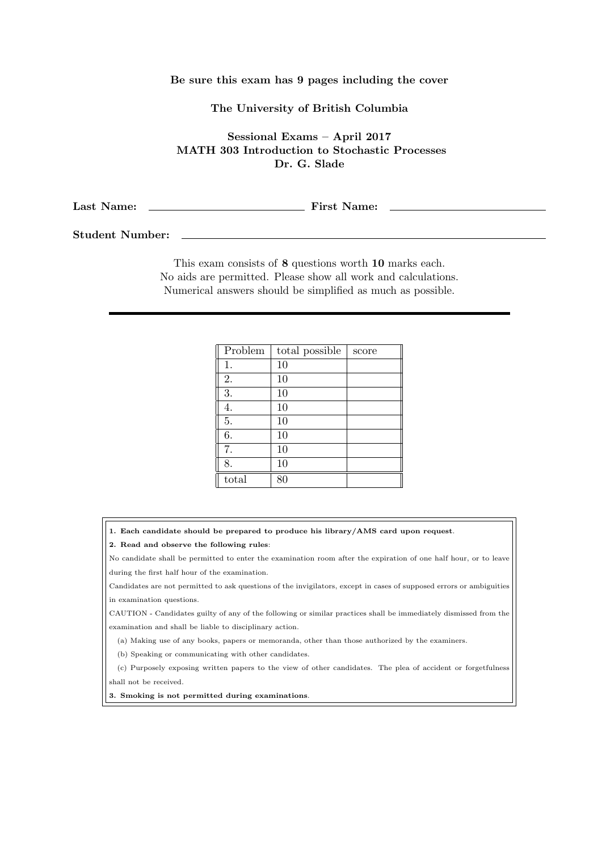## Be sure this exam has 9 pages including the cover

## The University of British Columbia

Sessional Exams – April 2017 MATH 303 Introduction to Stochastic Processes Dr. G. Slade

Last Name: First Name:

Student Number:

This exam consists of 8 questions worth 10 marks each. No aids are permitted. Please show all work and calculations. Numerical answers should be simplified as much as possible.

| Problem | total possible | score |
|---------|----------------|-------|
| 1.      | 10             |       |
| 2.      | 10             |       |
| 3.      | 10             |       |
| 4.      | 10             |       |
| 5.      | 10             |       |
| 6.      | 10             |       |
| 7.      | 10             |       |
| 8.      | 10             |       |
| total   | 80             |       |

1. Each candidate should be prepared to produce his library/AMS card upon request.

2. Read and observe the following rules:

No candidate shall be permitted to enter the examination room after the expiration of one half hour, or to leave during the first half hour of the examination.

Candidates are not permitted to ask questions of the invigilators, except in cases of supposed errors or ambiguities in examination questions.

CAUTION - Candidates guilty of any of the following or similar practices shall be immediately dismissed from the examination and shall be liable to disciplinary action.

(a) Making use of any books, papers or memoranda, other than those authorized by the examiners.

(b) Speaking or communicating with other candidates.

(c) Purposely exposing written papers to the view of other candidates. The plea of accident or forgetfulness shall not be received.

3. Smoking is not permitted during examinations.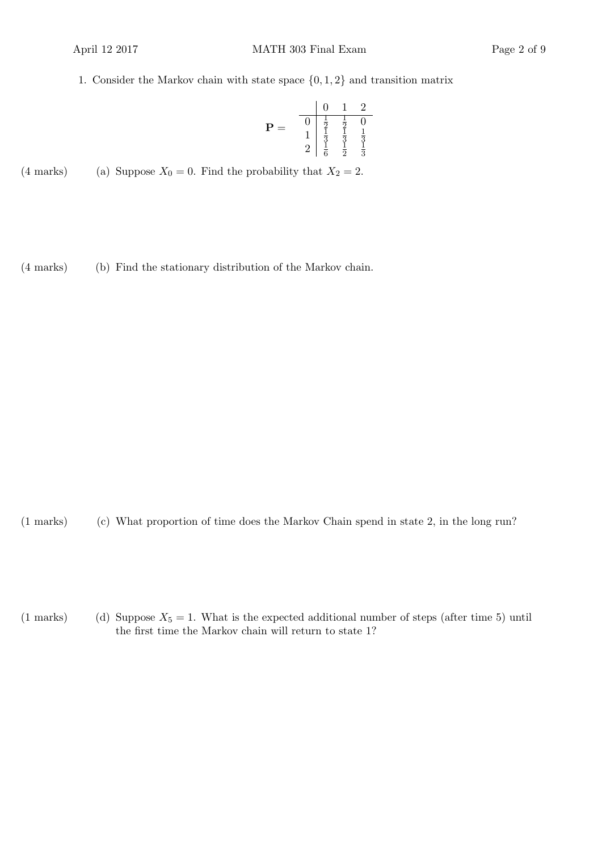1. Consider the Markov chain with state space  $\{0, 1, 2\}$  and transition matrix

$$
\mathbf{P} = \begin{array}{c|cc} & 0 & 1 & 2 \\ \hline 0 & \frac{1}{2} & \frac{1}{2} & 0 \\ 1 & \frac{1}{3} & \frac{1}{3} & \frac{1}{3} \\ 2 & \frac{1}{6} & \frac{1}{2} & \frac{1}{3} \end{array}
$$

(4 marks) (a) Suppose  $X_0 = 0$ . Find the probability that  $X_2 = 2$ .

(4 marks) (b) Find the stationary distribution of the Markov chain.

(1 marks) (c) What proportion of time does the Markov Chain spend in state 2, in the long run?

(1 marks) (d) Suppose  $X_5 = 1$ . What is the expected additional number of steps (after time 5) until the first time the Markov chain will return to state 1?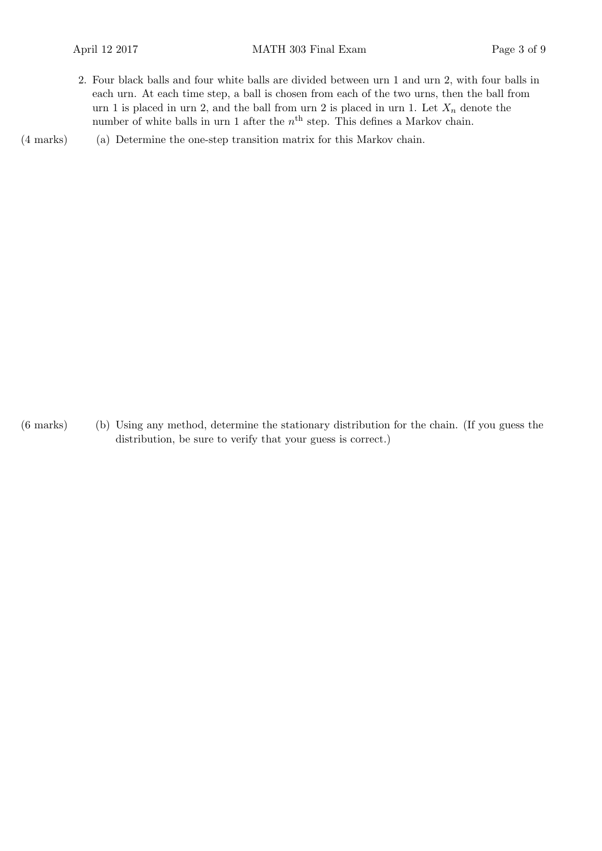2. Four black balls and four white balls are divided between urn 1 and urn 2, with four balls in each urn. At each time step, a ball is chosen from each of the two urns, then the ball from urn 1 is placed in urn 2, and the ball from urn 2 is placed in urn 1. Let  $X_n$  denote the number of white balls in urn 1 after the  $n<sup>th</sup>$  step. This defines a Markov chain.

(a)(4 marks) Determine the one-step transition matrix for this Markov chain.

(b)(6 marks) Using any method, determine the stationary distribution for the chain. (If you guess the distribution, be sure to verify that your guess is correct.)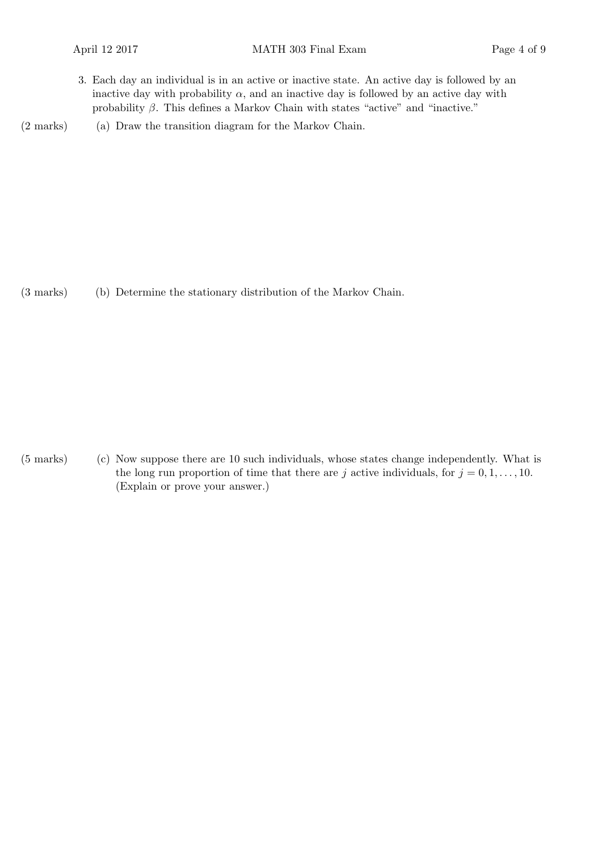3. Each day an individual is in an active or inactive state. An active day is followed by an inactive day with probability  $\alpha$ , and an inactive day is followed by an active day with probability  $\beta$ . This defines a Markov Chain with states "active" and "inactive."

(2 marks) (a) Draw the transition diagram for the Markov Chain.

(3 marks) (b) Determine the stationary distribution of the Markov Chain.

 $(5 \text{ marks})$  (c) Now suppose there are 10 such individuals, whose states change independently. What is the long run proportion of time that there are j active individuals, for  $j = 0, 1, \ldots, 10$ . (Explain or prove your answer.)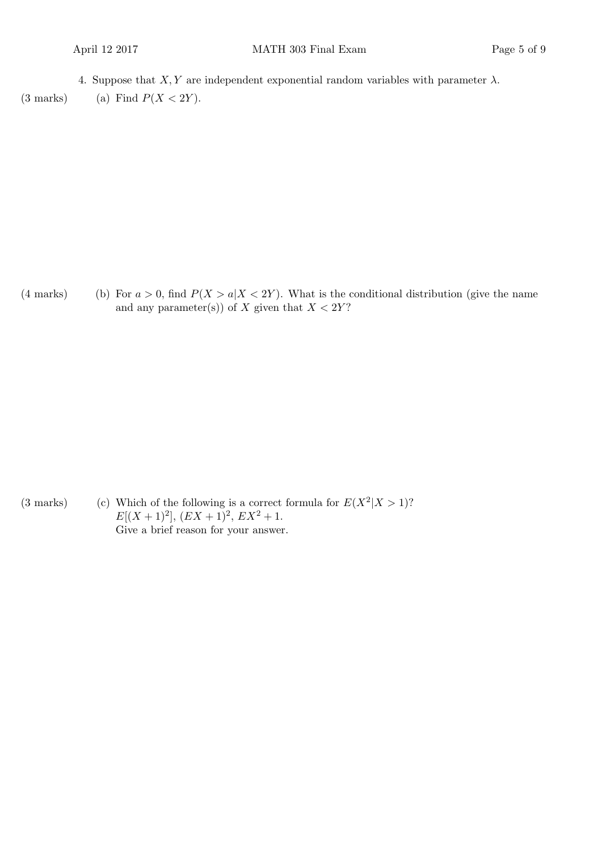4. Suppose that  $X, Y$  are independent exponential random variables with parameter  $\lambda$ .

(3 marks) (a) Find  $P(X < 2Y)$ .

(4 marks) (b) For  $a > 0$ , find  $P(X > a | X < 2Y)$ . What is the conditional distribution (give the name and any parameter(s)) of X given that  $X < 2Y$ ?

(3 marks) (c) Which of the following is a correct formula for  $E(X^2|X>1)$ ?  $E[(X+1)^2], (EX+1)^2, EX^2+1.$ Give a brief reason for your answer.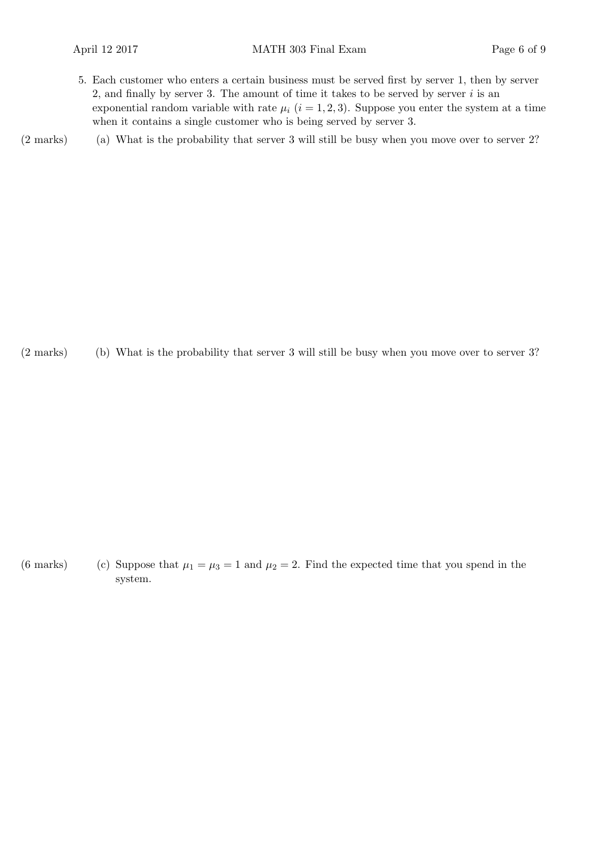5. Each customer who enters a certain business must be served first by server 1, then by server 2, and finally by server 3. The amount of time it takes to be served by server  $i$  is an exponential random variable with rate  $\mu_i$  ( $i = 1, 2, 3$ ). Suppose you enter the system at a time when it contains a single customer who is being served by server 3.

(2 marks) (a) What is the probability that server 3 will still be busy when you move over to server 2?

(b)(2 marks) What is the probability that server 3 will still be busy when you move over to server 3?

(6 marks) (c) Suppose that  $\mu_1 = \mu_3 = 1$  and  $\mu_2 = 2$ . Find the expected time that you spend in the system.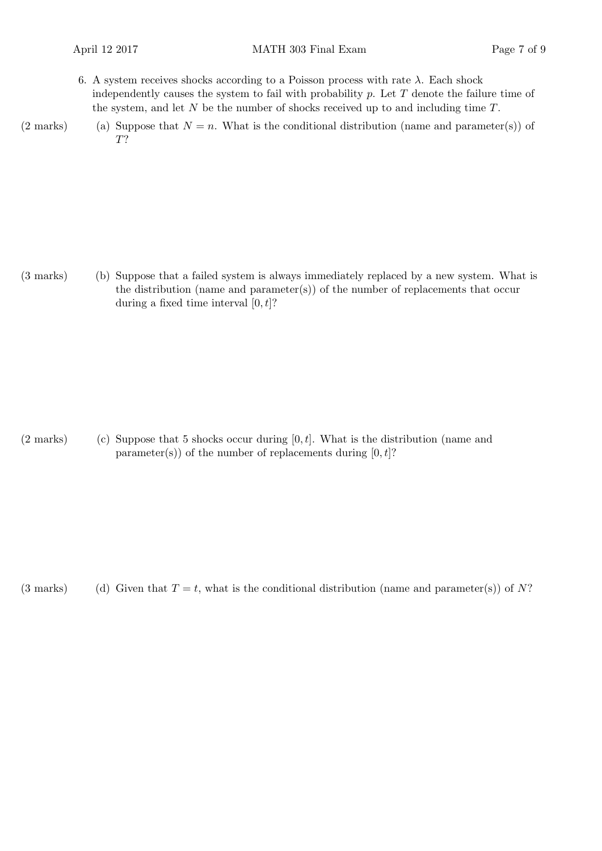- 6. A system receives shocks according to a Poisson process with rate  $\lambda$ . Each shock independently causes the system to fail with probability  $p$ . Let  $T$  denote the failure time of the system, and let  $N$  be the number of shocks received up to and including time  $T$ .
- (2 marks) (a) Suppose that  $N = n$ . What is the conditional distribution (name and parameter(s)) of T?

(3 marks) (b) Suppose that a failed system is always immediately replaced by a new system. What is the distribution (name and parameter(s)) of the number of replacements that occur during a fixed time interval  $[0, t]$ ?

 $(2 \text{ marks})$  (c) Suppose that 5 shocks occur during  $[0, t]$ . What is the distribution (name and parameter(s)) of the number of replacements during  $[0, t]$ ?

(3 marks) Given that  $T = t$ , what is the conditional distribution (name and parameter(s)) of N?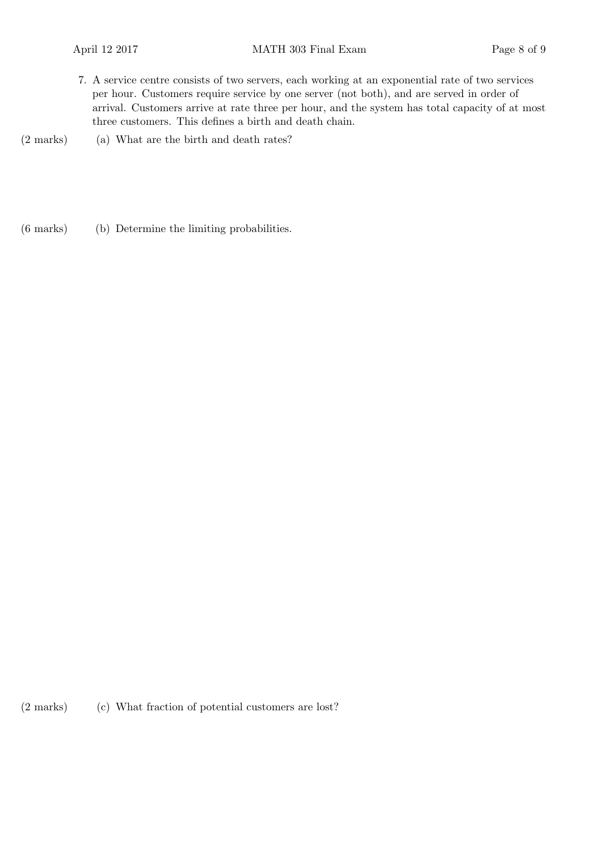- 7. A service centre consists of two servers, each working at an exponential rate of two services per hour. Customers require service by one server (not both), and are served in order of arrival. Customers arrive at rate three per hour, and the system has total capacity of at most three customers. This defines a birth and death chain.
- $(2 \text{ marks})$  (a) What are the birth and death rates?

(b)(6 marks) Determine the limiting probabilities.

(2 marks) (c) What fraction of potential customers are lost?